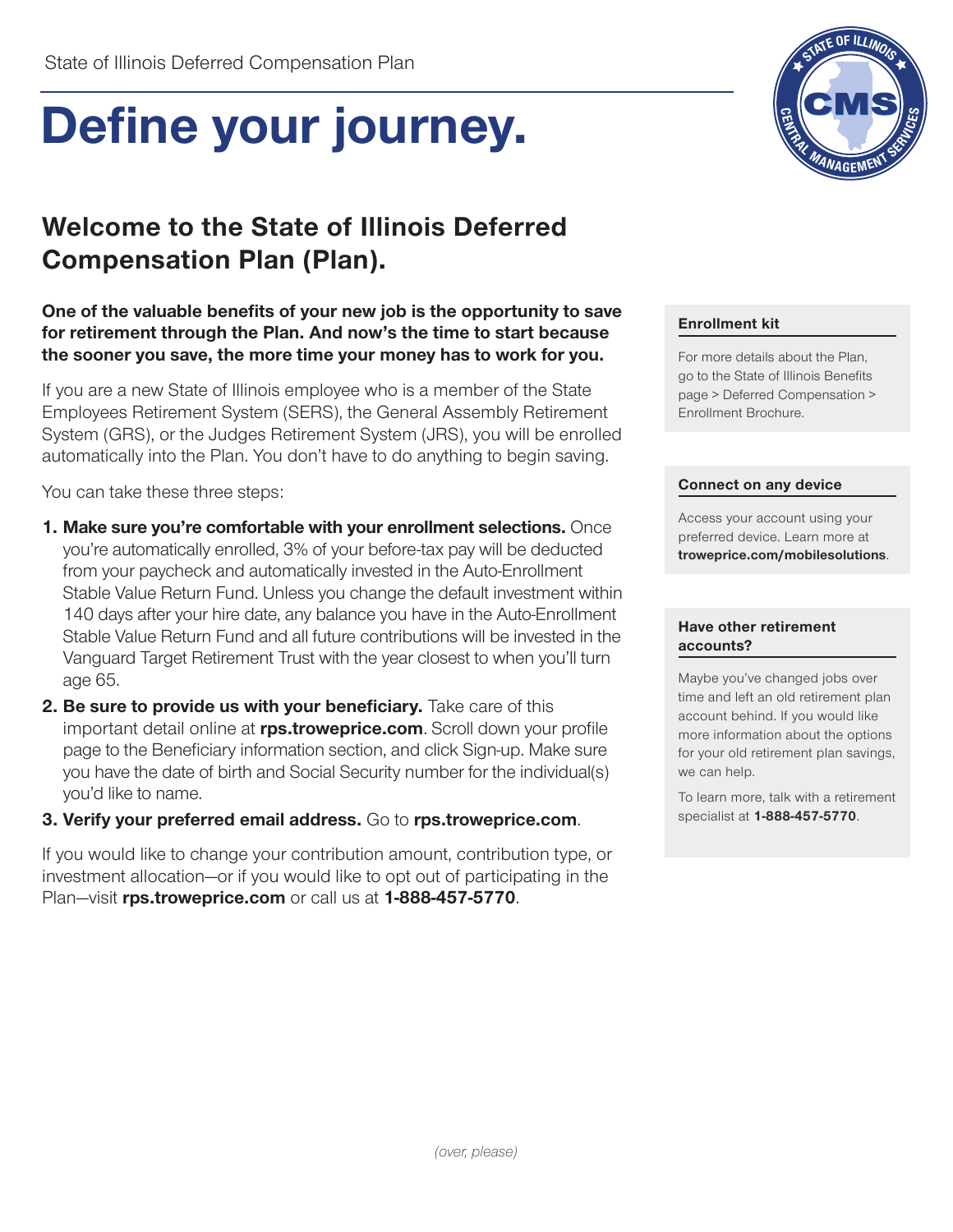# **Define your journey.**

# **Welcome to the State of Illinois Deferred Compensation Plan (Plan).**

#### **One of the valuable benefits of your new job is the opportunity to save for retirement through the Plan. And now's the time to start because the sooner you save, the more time your money has to work for you.**

If you are a new State of Illinois employee who is a member of the State Employees Retirement System (SERS), the General Assembly Retirement System (GRS), or the Judges Retirement System (JRS), you will be enrolled automatically into the Plan. You don't have to do anything to begin saving.

You can take these three steps:

- **1. Make sure you're comfortable with your enrollment selections.** Once you're automatically enrolled, 3% of your before-tax pay will be deducted from your paycheck and automatically invested in the Auto-Enrollment Stable Value Return Fund. Unless you change the default investment within 140 days after your hire date, any balance you have in the Auto-Enrollment Stable Value Return Fund and all future contributions will be invested in the Vanguard Target Retirement Trust with the year closest to when you'll turn age 65.
- **2. Be sure to provide us with your beneficiary.** Take care of this important detail online at **rps.troweprice.com**. Scroll down your profile page to the Beneficiary information section, and click Sign-up. Make sure you have the date of birth and Social Security number for the individual(s) you'd like to name.

#### **3. Verify your preferred email address.** Go to **rps.troweprice.com**.

If you would like to change your contribution amount, contribution type, or investment allocation—or if you would like to opt out of participating in the Plan—visit **rps.troweprice.com** or call us at **1-888-457-5770**.



#### **Enrollment kit**

For more details about the Plan, go to the State of Illinois Benefits page > Deferred Compensation > Enrollment Brochure.

#### **Connect on any device**

Access your account using your preferred device. Learn more at **troweprice.com/mobilesolutions**.

#### **Have other retirement accounts?**

Maybe you've changed jobs over time and left an old retirement plan account behind. If you would like more information about the options for your old retirement plan savings, we can help.

To learn more, talk with a retirement specialist at **1-888-457-5770**.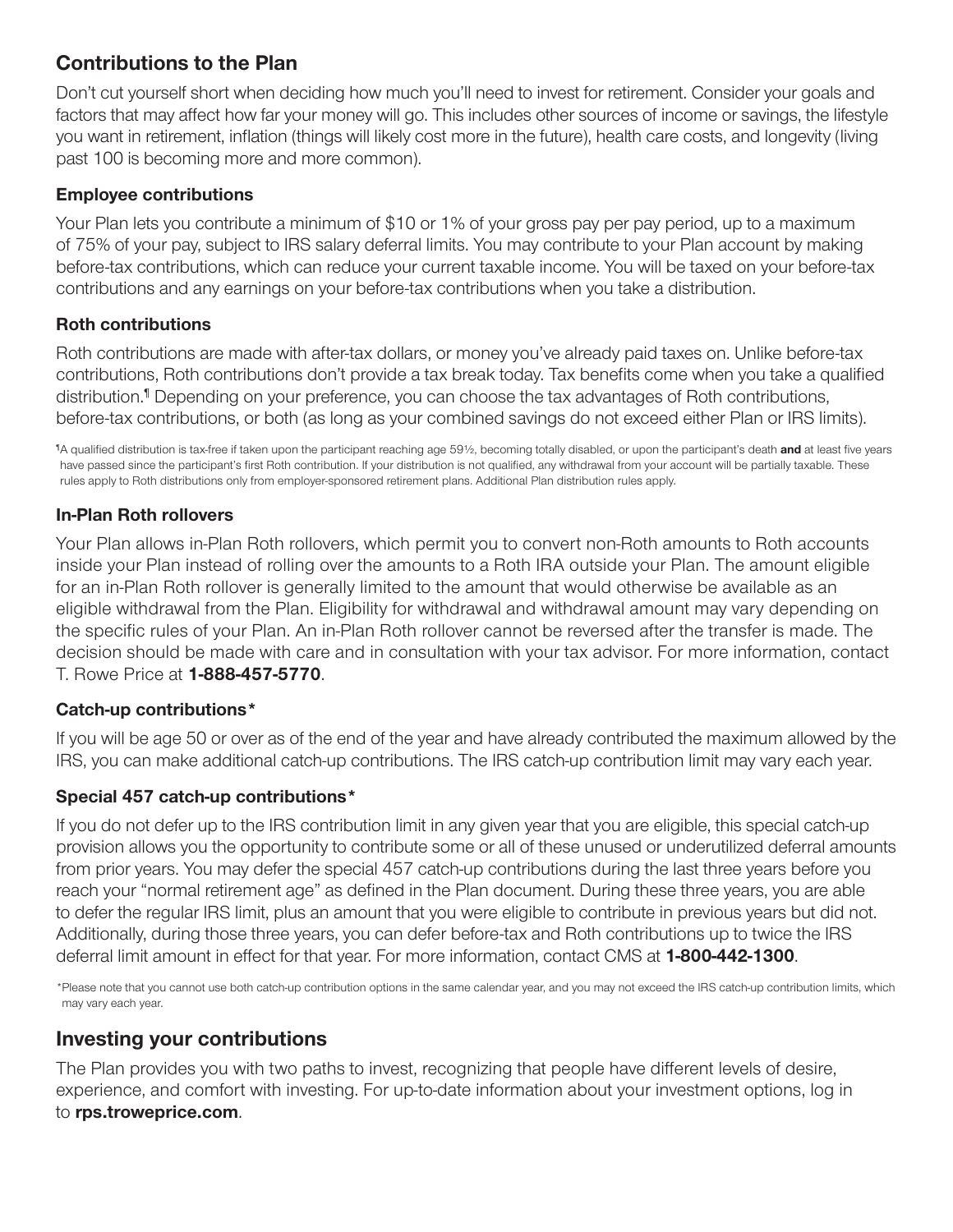## **Contributions to the Plan**

Don't cut yourself short when deciding how much you'll need to invest for retirement. Consider your goals and factors that may affect how far your money will go. This includes other sources of income or savings, the lifestyle you want in retirement, inflation (things will likely cost more in the future), health care costs, and longevity (living past 100 is becoming more and more common).

#### **Employee contributions**

Your Plan lets you contribute a minimum of \$10 or 1% of your gross pay per pay period, up to a maximum of 75% of your pay, subject to IRS salary deferral limits. You may contribute to your Plan account by making before-tax contributions, which can reduce your current taxable income. You will be taxed on your before-tax contributions and any earnings on your before-tax contributions when you take a distribution.

#### **Roth contributions**

Roth contributions are made with after-tax dollars, or money you've already paid taxes on. Unlike before-tax contributions, Roth contributions don't provide a tax break today. Tax benefits come when you take a qualified distribution.¶ Depending on your preference, you can choose the tax advantages of Roth contributions, before-tax contributions, or both (as long as your combined savings do not exceed either Plan or IRS limits).

¶ A qualified distribution is tax-free if taken upon the participant reaching age 59½, becoming totally disabled, or upon the participant's death **and** at least five years have passed since the participant's first Roth contribution. If your distribution is not qualified, any withdrawal from your account will be partially taxable. These rules apply to Roth distributions only from employer-sponsored retirement plans. Additional Plan distribution rules apply.

#### **In-Plan Roth rollovers**

Your Plan allows in-Plan Roth rollovers, which permit you to convert non-Roth amounts to Roth accounts inside your Plan instead of rolling over the amounts to a Roth IRA outside your Plan. The amount eligible for an in-Plan Roth rollover is generally limited to the amount that would otherwise be available as an eligible withdrawal from the Plan. Eligibility for withdrawal and withdrawal amount may vary depending on the specific rules of your Plan. An in-Plan Roth rollover cannot be reversed after the transfer is made. The decision should be made with care and in consultation with your tax advisor. For more information, contact T. Rowe Price at **1-888-457-5770**.

#### **Catch-up contributions\***

If you will be age 50 or over as of the end of the year and have already contributed the maximum allowed by the IRS, you can make additional catch-up contributions. The IRS catch-up contribution limit may vary each year.

#### **Special 457 catch-up contributions\***

If you do not defer up to the IRS contribution limit in any given year that you are eligible, this special catch-up provision allows you the opportunity to contribute some or all of these unused or underutilized deferral amounts from prior years. You may defer the special 457 catch-up contributions during the last three years before you reach your "normal retirement age" as defined in the Plan document. During these three years, you are able to defer the regular IRS limit, plus an amount that you were eligible to contribute in previous years but did not. Additionally, during those three years, you can defer before-tax and Roth contributions up to twice the IRS deferral limit amount in effect for that year. For more information, contact CMS at **1-800-442-1300**.

\*Please note that you cannot use both catch-up contribution options in the same calendar year, and you may not exceed the IRS catch-up contribution limits, which may vary each year.

## **Investing your contributions**

The Plan provides you with two paths to invest, recognizing that people have different levels of desire, experience, and comfort with investing. For up-to-date information about your investment options, log in to **rps.troweprice.com**.